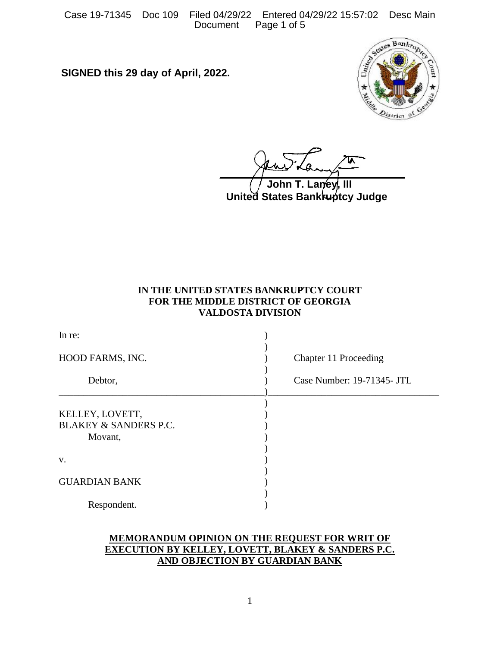Case 19-71345 Doc 109 Filed 04/29/22 Entered 04/29/22 15:57:02 Desc Main Document

**SIGNED this 29 day of April, 2022.**



**United States Bankruptcy Judge** John T. Lan⁄ev

# **IN THE UNITED STATES BANKRUPTCY COURT FOR THE MIDDLE DISTRICT OF GEORGIA VALDOSTA DIVISION**

| In re:                                                         |                            |
|----------------------------------------------------------------|----------------------------|
| HOOD FARMS, INC.                                               | Chapter 11 Proceeding      |
| Debtor,                                                        | Case Number: 19-71345- JTL |
| KELLEY, LOVETT,<br><b>BLAKEY &amp; SANDERS P.C.</b><br>Movant, |                            |
| V.                                                             |                            |
| <b>GUARDIAN BANK</b>                                           |                            |
| Respondent.                                                    |                            |

## **MEMORANDUM OPINION ON THE REQUEST FOR WRIT OF EXECUTION BY KELLEY, LOVETT, BLAKEY & SANDERS P.C. AND OBJECTION BY GUARDIAN BANK**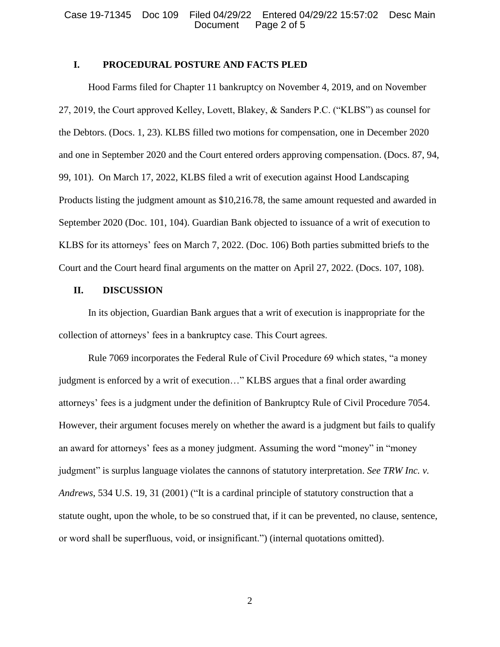### **I. PROCEDURAL POSTURE AND FACTS PLED**

Hood Farms filed for Chapter 11 bankruptcy on November 4, 2019, and on November 27, 2019, the Court approved Kelley, Lovett, Blakey, & Sanders P.C. ("KLBS") as counsel for the Debtors. (Docs. 1, 23). KLBS filled two motions for compensation, one in December 2020 and one in September 2020 and the Court entered orders approving compensation. (Docs. 87, 94, 99, 101). On March 17, 2022, KLBS filed a writ of execution against Hood Landscaping Products listing the judgment amount as \$10,216.78, the same amount requested and awarded in September 2020 (Doc. 101, 104). Guardian Bank objected to issuance of a writ of execution to KLBS for its attorneys' fees on March 7, 2022. (Doc. 106) Both parties submitted briefs to the Court and the Court heard final arguments on the matter on April 27, 2022. (Docs. 107, 108).

#### **II. DISCUSSION**

In its objection, Guardian Bank argues that a writ of execution is inappropriate for the collection of attorneys' fees in a bankruptcy case. This Court agrees.

Rule 7069 incorporates the Federal Rule of Civil Procedure 69 which states, "a money judgment is enforced by a writ of execution…" KLBS argues that a final order awarding attorneys' fees is a judgment under the definition of Bankruptcy Rule of Civil Procedure 7054. However, their argument focuses merely on whether the award is a judgment but fails to qualify an award for attorneys' fees as a money judgment. Assuming the word "money" in "money judgment" is surplus language violates the cannons of statutory interpretation. *See TRW Inc. v. Andrews*, 534 U.S. 19, 31 (2001) ("It is a cardinal principle of statutory construction that a statute ought, upon the whole, to be so construed that, if it can be prevented, no clause, sentence, or word shall be superfluous, void, or insignificant.") (internal quotations omitted).

2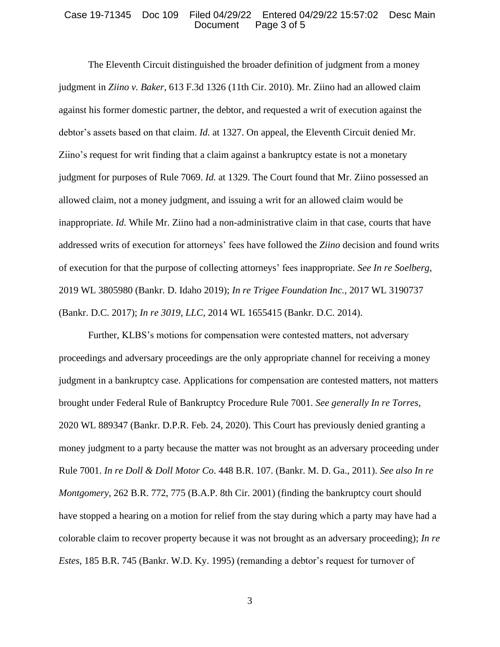#### Case 19-71345 Doc 109 Filed 04/29/22 Entered 04/29/22 15:57:02 Desc Main Document Page 3 of 5

The Eleventh Circuit distinguished the broader definition of judgment from a money judgment in *Ziino v. Baker*, 613 F.3d 1326 (11th Cir. 2010). Mr. Ziino had an allowed claim against his former domestic partner, the debtor, and requested a writ of execution against the debtor's assets based on that claim. *Id.* at 1327. On appeal, the Eleventh Circuit denied Mr. Ziino's request for writ finding that a claim against a bankruptcy estate is not a monetary judgment for purposes of Rule 7069. *Id.* at 1329. The Court found that Mr. Ziino possessed an allowed claim, not a money judgment, and issuing a writ for an allowed claim would be inappropriate. *Id.* While Mr. Ziino had a non-administrative claim in that case, courts that have addressed writs of execution for attorneys' fees have followed the *Ziino* decision and found writs of execution for that the purpose of collecting attorneys' fees inappropriate. *See In re Soelberg*, 2019 WL 3805980 (Bankr. D. Idaho 2019); *In re Trigee Foundation Inc.,* 2017 WL 3190737 (Bankr. D.C. 2017); *In re 3019, LLC*, 2014 WL 1655415 (Bankr. D.C. 2014).

Further, KLBS's motions for compensation were contested matters, not adversary proceedings and adversary proceedings are the only appropriate channel for receiving a money judgment in a bankruptcy case. Applications for compensation are contested matters, not matters brought under Federal Rule of Bankruptcy Procedure Rule 7001. *See generally In re Torres*, 2020 WL 889347 (Bankr. D.P.R. Feb. 24, 2020). This Court has previously denied granting a money judgment to a party because the matter was not brought as an adversary proceeding under Rule 7001. *In re Doll & Doll Motor Co*. 448 B.R. 107. (Bankr. M. D. Ga., 2011). *See also In re Montgomery*, 262 B.R. 772, 775 (B.A.P. 8th Cir. 2001) (finding the bankruptcy court should have stopped a hearing on a motion for relief from the stay during which a party may have had a colorable claim to recover property because it was not brought as an adversary proceeding); *In re Estes*, 185 B.R. 745 (Bankr. W.D. Ky. 1995) (remanding a debtor's request for turnover of

3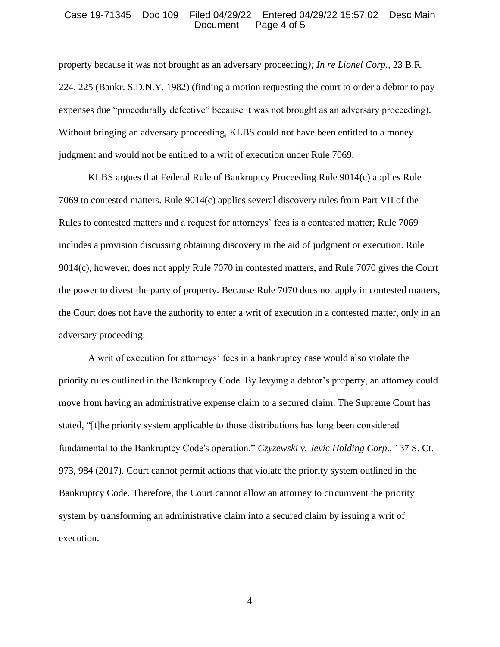#### Case 19-71345 Doc 109 Filed 04/29/22 Entered 04/29/22 15:57:02 Desc Main Document Page 4 of 5

property because it was not brought as an adversary proceeding*); In re Lionel Corp.,* 23 B.R. 224, 225 (Bankr. S.D.N.Y. 1982) (finding a motion requesting the court to order a debtor to pay expenses due "procedurally defective" because it was not brought as an adversary proceeding). Without bringing an adversary proceeding, KLBS could not have been entitled to a money judgment and would not be entitled to a writ of execution under Rule 7069.

KLBS argues that Federal Rule of Bankruptcy Proceeding Rule 9014(c) applies Rule 7069 to contested matters. Rule 9014(c) applies several discovery rules from Part VII of the Rules to contested matters and a request for attorneys' fees is a contested matter; Rule 7069 includes a provision discussing obtaining discovery in the aid of judgment or execution. Rule 9014(c), however, does not apply Rule 7070 in contested matters, and Rule 7070 gives the Court the power to divest the party of property. Because Rule 7070 does not apply in contested matters, the Court does not have the authority to enter a writ of execution in a contested matter, only in an adversary proceeding.

A writ of execution for attorneys' fees in a bankruptcy case would also violate the priority rules outlined in the Bankruptcy Code. By levying a debtor's property, an attorney could move from having an administrative expense claim to a secured claim. The Supreme Court has stated, "[t]he priority system applicable to those distributions has long been considered fundamental to the Bankruptcy Code's operation." *Czyzewski v. Jevic Holding Corp*., 137 S. Ct. 973, 984 (2017). Court cannot permit actions that violate the priority system outlined in the Bankruptcy Code. Therefore, the Court cannot allow an attorney to circumvent the priority system by transforming an administrative claim into a secured claim by issuing a writ of execution.

4